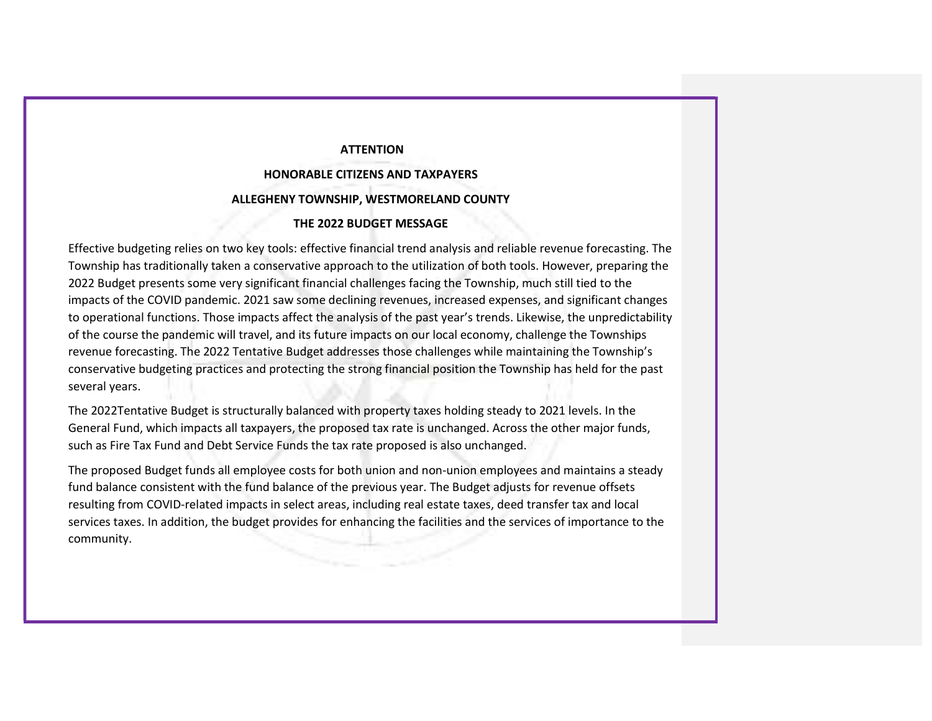### **ATTENTION**

# HONORABLE CITIZENS AND TAXPAYERS ALLEGHENY TOWNSHIP, WESTMORELAND COUNTY

#### THE 2022 BUDGET MESSAGE

Effective budgeting relies on two key tools: effective financial trend analysis and reliable revenue forecasting. The Township has traditionally taken a conservative approach to the utilization of both tools. However, preparing the 2022 Budget presents some very significant financial challenges facing the Township, much still tied to the impacts of the COVID pandemic. 2021 saw some declining revenues, increased expenses, and significant changes to operational functions. Those impacts affect the analysis of the past year's trends. Likewise, the unpredictability of the course the pandemic will travel, and its future impacts on our local economy, challenge the Townships revenue forecasting. The 2022 Tentative Budget addresses those challenges while maintaining the Township's conservative budgeting practices and protecting the strong financial position the Township has held for the past several years.

The 2022Tentative Budget is structurally balanced with property taxes holding steady to 2021 levels. In the General Fund, which impacts all taxpayers, the proposed tax rate is unchanged. Across the other major funds, such as Fire Tax Fund and Debt Service Funds the tax rate proposed is also unchanged.

The proposed Budget funds all employee costs for both union and non-union employees and maintains a steady fund balance consistent with the fund balance of the previous year. The Budget adjusts for revenue offsets resulting from COVID-related impacts in select areas, including real estate taxes, deed transfer tax and local services taxes. In addition, the budget provides for enhancing the facilities and the services of importance to the community.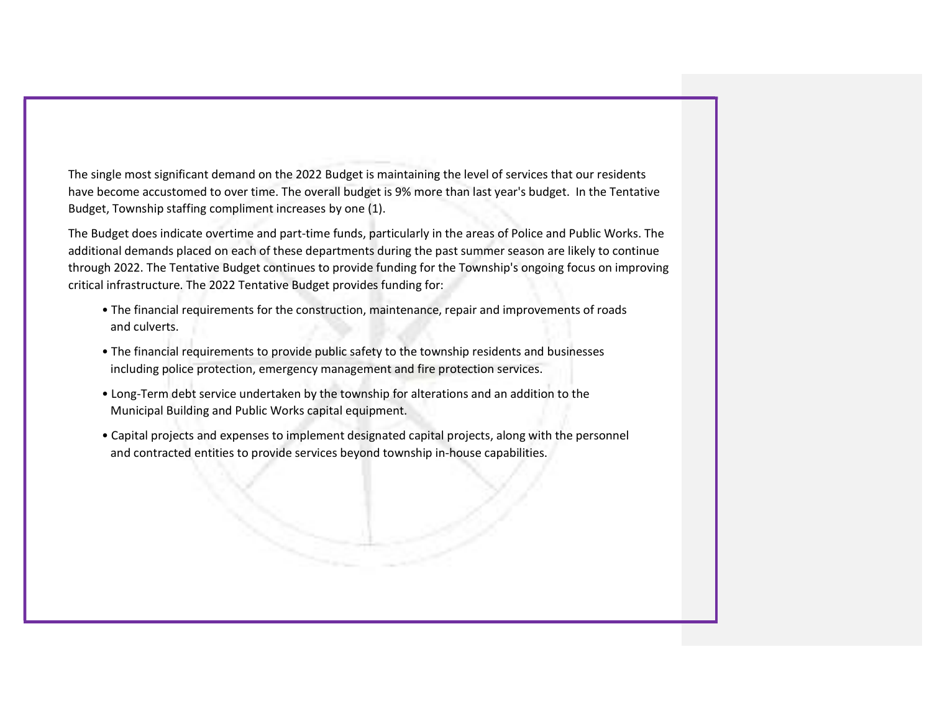The single most significant demand on the 2022 Budget is maintaining the level of services that our residents have become accustomed to over time. The overall budget is 9% more than last year's budget. In the Tentative Budget, Township staffing compliment increases by one (1).

The Budget does indicate overtime and part-time funds, particularly in the areas of Police and Public Works. The additional demands placed on each of these departments during the past summer season are likely to continue through 2022. The Tentative Budget continues to provide funding for the Township's ongoing focus on improving critical infrastructure. The 2022 Tentative Budget provides funding for:

- The financial requirements for the construction, maintenance, repair and improvements of roads and culverts.
- The financial requirements to provide public safety to the township residents and businesses including police protection, emergency management and fire protection services.
- Long-Term debt service undertaken by the township for alterations and an addition to the Municipal Building and Public Works capital equipment.
- Capital projects and expenses to implement designated capital projects, along with the personnel and contracted entities to provide services beyond township in-house capabilities.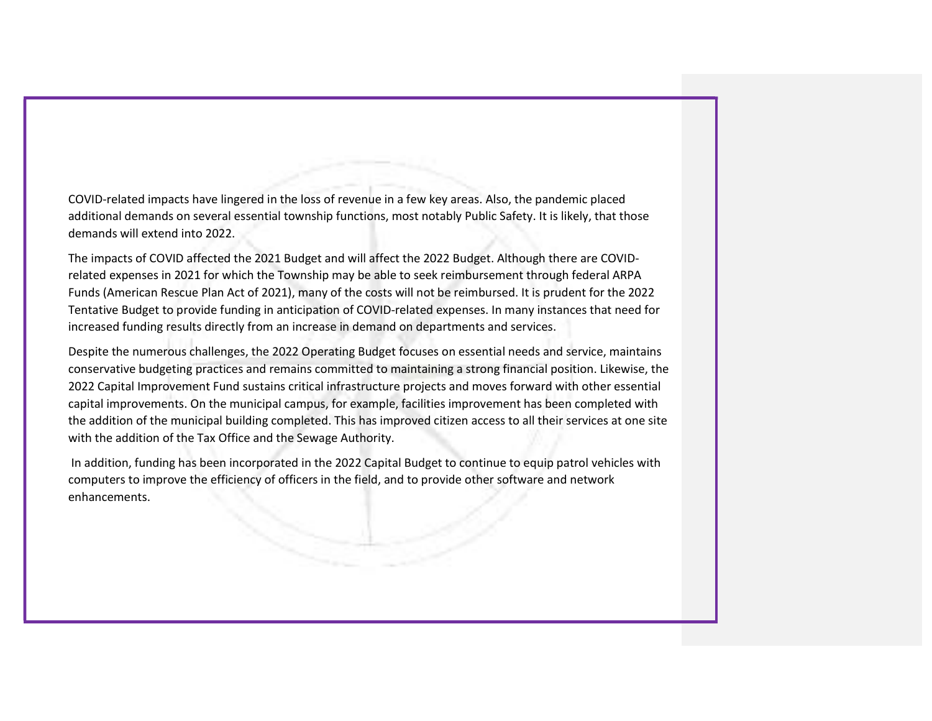COVID-related impacts have lingered in the loss of revenue in a few key areas. Also, the pandemic placed additional demands on several essential township functions, most notably Public Safety. It is likely, that those demands will extend into 2022.

The impacts of COVID affected the 2021 Budget and will affect the 2022 Budget. Although there are COVIDrelated expenses in 2021 for which the Township may be able to seek reimbursement through federal ARPA Funds (American Rescue Plan Act of 2021), many of the costs will not be reimbursed. It is prudent for the 2022 Tentative Budget to provide funding in anticipation of COVID-related expenses. In many instances that need for increased funding results directly from an increase in demand on departments and services.

Despite the numerous challenges, the 2022 Operating Budget focuses on essential needs and service, maintains conservative budgeting practices and remains committed to maintaining a strong financial position. Likewise, the 2022 Capital Improvement Fund sustains critical infrastructure projects and moves forward with other essential capital improvements. On the municipal campus, for example, facilities improvement has been completed with the addition of the municipal building completed. This has improved citizen access to all their services at one site with the addition of the Tax Office and the Sewage Authority.

 In addition, funding has been incorporated in the 2022 Capital Budget to continue to equip patrol vehicles with computers to improve the efficiency of officers in the field, and to provide other software and network enhancements.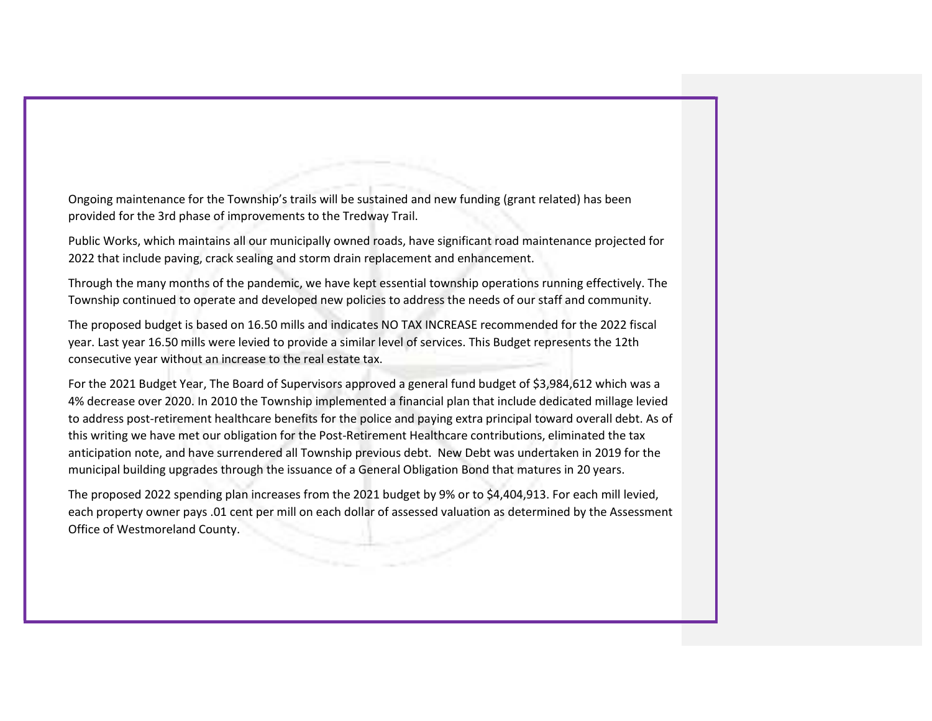Ongoing maintenance for the Township's trails will be sustained and new funding (grant related) has been provided for the 3rd phase of improvements to the Tredway Trail.

Public Works, which maintains all our municipally owned roads, have significant road maintenance projected for 2022 that include paving, crack sealing and storm drain replacement and enhancement.

Through the many months of the pandemic, we have kept essential township operations running effectively. The Township continued to operate and developed new policies to address the needs of our staff and community.

The proposed budget is based on 16.50 mills and indicates NO TAX INCREASE recommended for the 2022 fiscal year. Last year 16.50 mills were levied to provide a similar level of services. This Budget represents the 12th consecutive year without an increase to the real estate tax.

For the 2021 Budget Year, The Board of Supervisors approved a general fund budget of \$3,984,612 which was a 4% decrease over 2020. In 2010 the Township implemented a financial plan that include dedicated millage levied to address post-retirement healthcare benefits for the police and paying extra principal toward overall debt. As of this writing we have met our obligation for the Post-Retirement Healthcare contributions, eliminated the tax anticipation note, and have surrendered all Township previous debt. New Debt was undertaken in 2019 for the municipal building upgrades through the issuance of a General Obligation Bond that matures in 20 years.

The proposed 2022 spending plan increases from the 2021 budget by 9% or to \$4,404,913. For each mill levied, each property owner pays .01 cent per mill on each dollar of assessed valuation as determined by the Assessment Office of Westmoreland County.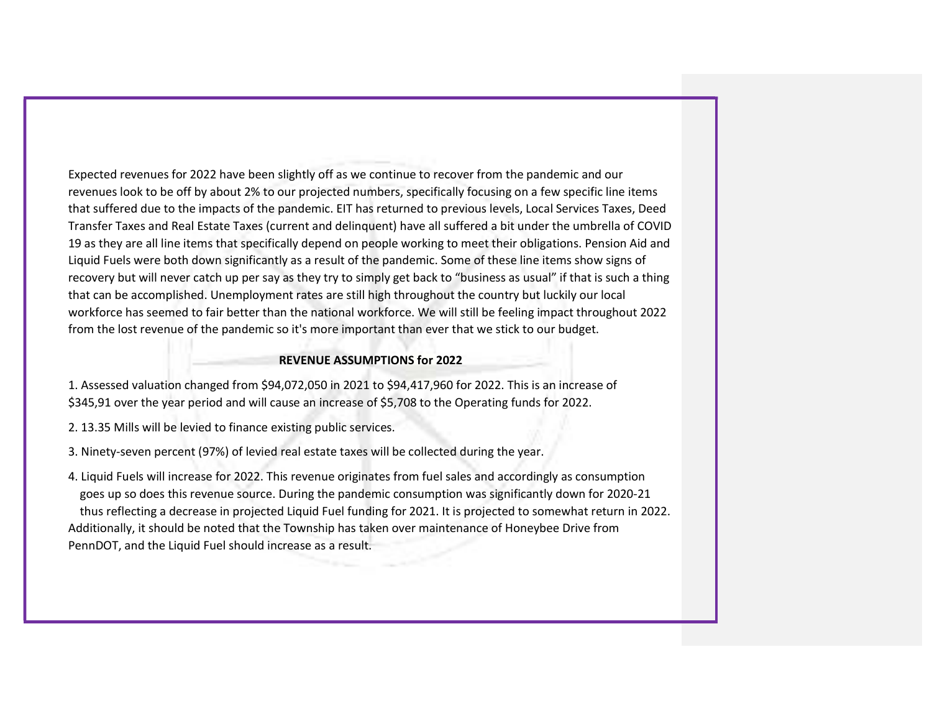Expected revenues for 2022 have been slightly off as we continue to recover from the pandemic and our revenues look to be off by about 2% to our projected numbers, specifically focusing on a few specific line items that suffered due to the impacts of the pandemic. EIT has returned to previous levels, Local Services Taxes, Deed Transfer Taxes and Real Estate Taxes (current and delinquent) have all suffered a bit under the umbrella of COVID 19 as they are all line items that specifically depend on people working to meet their obligations. Pension Aid and Liquid Fuels were both down significantly as a result of the pandemic. Some of these line items show signs of recovery but will never catch up per say as they try to simply get back to "business as usual" if that is such a thing that can be accomplished. Unemployment rates are still high throughout the country but luckily our local workforce has seemed to fair better than the national workforce. We will still be feeling impact throughout 2022 from the lost revenue of the pandemic so it's more important than ever that we stick to our budget.

#### REVENUE ASSUMPTIONS for 2022

1. Assessed valuation changed from \$94,072,050 in 2021 to \$94,417,960 for 2022. This is an increase of \$345,91 over the year period and will cause an increase of \$5,708 to the Operating funds for 2022.

- 2. 13.35 Mills will be levied to finance existing public services.
- 3. Ninety-seven percent (97%) of levied real estate taxes will be collected during the year.

4. Liquid Fuels will increase for 2022. This revenue originates from fuel sales and accordingly as consumption goes up so does this revenue source. During the pandemic consumption was significantly down for 2020-21 thus reflecting a decrease in projected Liquid Fuel funding for 2021. It is projected to somewhat return in 2022. Additionally, it should be noted that the Township has taken over maintenance of Honeybee Drive from PennDOT, and the Liquid Fuel should increase as a result.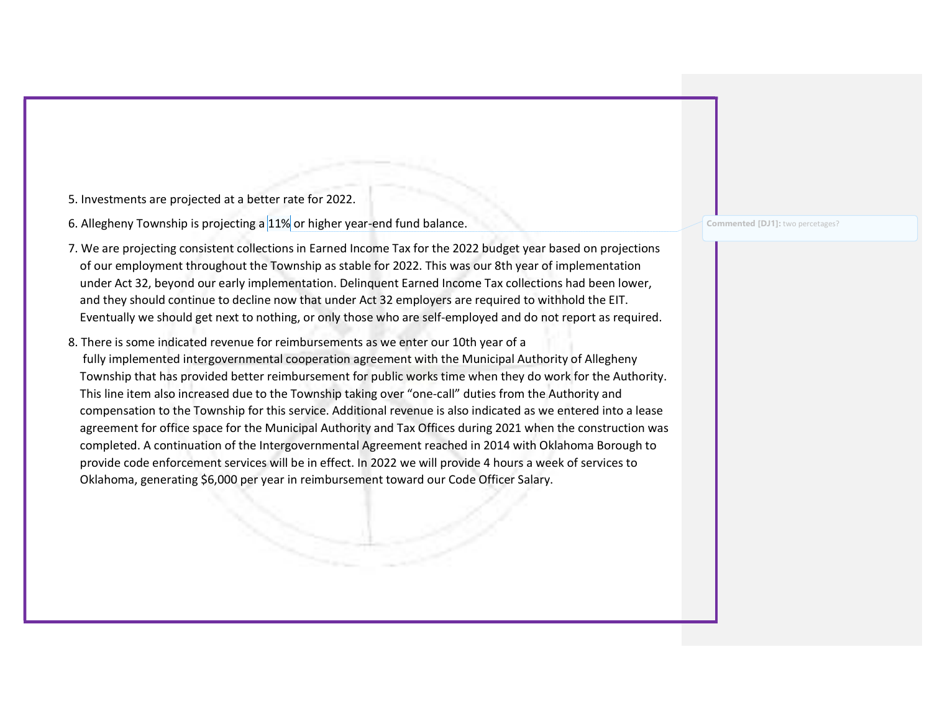5. Investments are projected at a better rate for 2022.

6. Allegheny Township is projecting a 11% or higher year-end fund balance.

- 7. We are projecting consistent collections in Earned Income Tax for the 2022 budget year based on projections of our employment throughout the Township as stable for 2022. This was our 8th year of implementation under Act 32, beyond our early implementation. Delinquent Earned Income Tax collections had been lower, and they should continue to decline now that under Act 32 employers are required to withhold the EIT. Eventually we should get next to nothing, or only those who are self-employed and do not report as required.
- 8. There is some indicated revenue for reimbursements as we enter our 10th year of a fully implemented intergovernmental cooperation agreement with the Municipal Authority of Allegheny Township that has provided better reimbursement for public works time when they do work for the Authority. This line item also increased due to the Township taking over "one-call" duties from the Authority and compensation to the Township for this service. Additional revenue is also indicated as we entered into a lease agreement for office space for the Municipal Authority and Tax Offices during 2021 when the construction was completed. A continuation of the Intergovernmental Agreement reached in 2014 with Oklahoma Borough to provide code enforcement services will be in effect. In 2022 we will provide 4 hours a week of services to Oklahoma, generating \$6,000 per year in reimbursement toward our Code Officer Salary.

Commented [DJ1]: two percetages?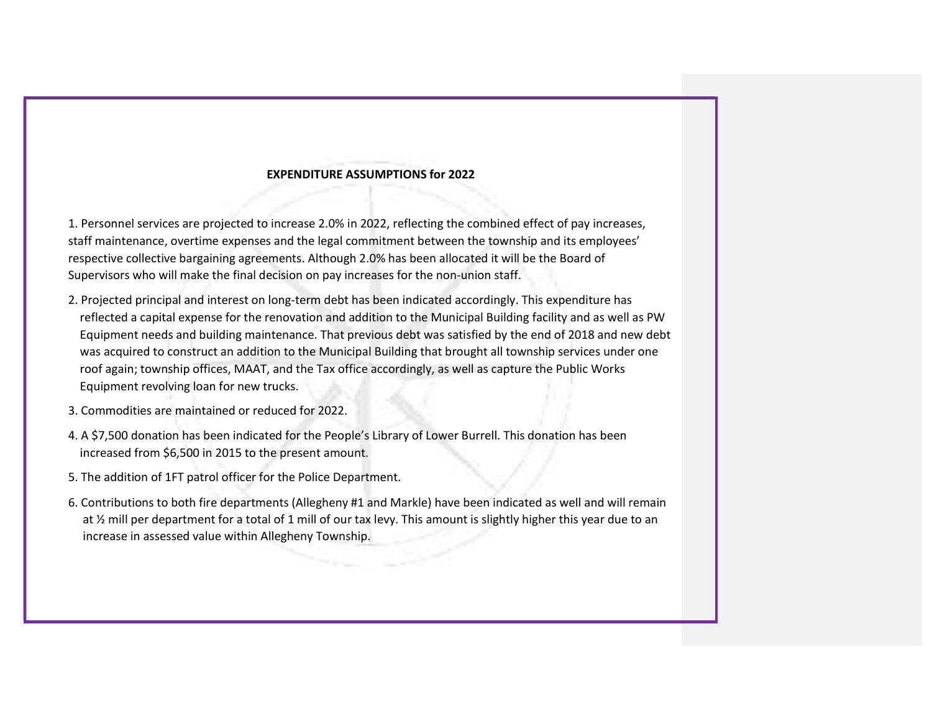## EXPENDITURE ASSUMPTIONS for 2022

1. Personnel services are projected to increase 2.0% in 2022, reflecting the combined effect of pay increases, staff maintenance, overtime expenses and the legal commitment between the township and its employees' respective collective bargaining agreements. Although 2.0% has been allocated it will be the Board of Supervisors who will make the final decision on pay increases for the non-union staff.

- 2. Projected principal and interest on long-term debt has been indicated accordingly. This expenditure has reflected a capital expense for the renovation and addition to the Municipal Building facility and as well as PW Equipment needs and building maintenance. That previous debt was satisfied by the end of 2018 and new debt was acquired to construct an addition to the Municipal Building that brought all township services under one roof again; township offices, MAAT, and the Tax office accordingly, as well as capture the Public Works Equipment revolving loan for new trucks.
- 3. Commodities are maintained or reduced for 2022.
- 4. A \$7,500 donation has been indicated for the People's Library of Lower Burrell. This donation has been increased from \$6,500 in 2015 to the present amount.
- 5. The addition of 1FT patrol officer for the Police Department.
- 6. Contributions to both fire departments (Allegheny #1 and Markle) have been indicated as well and will remain at ½ mill per department for a total of 1 mill of our tax levy. This amount is slightly higher this year due to an increase in assessed value within Allegheny Township.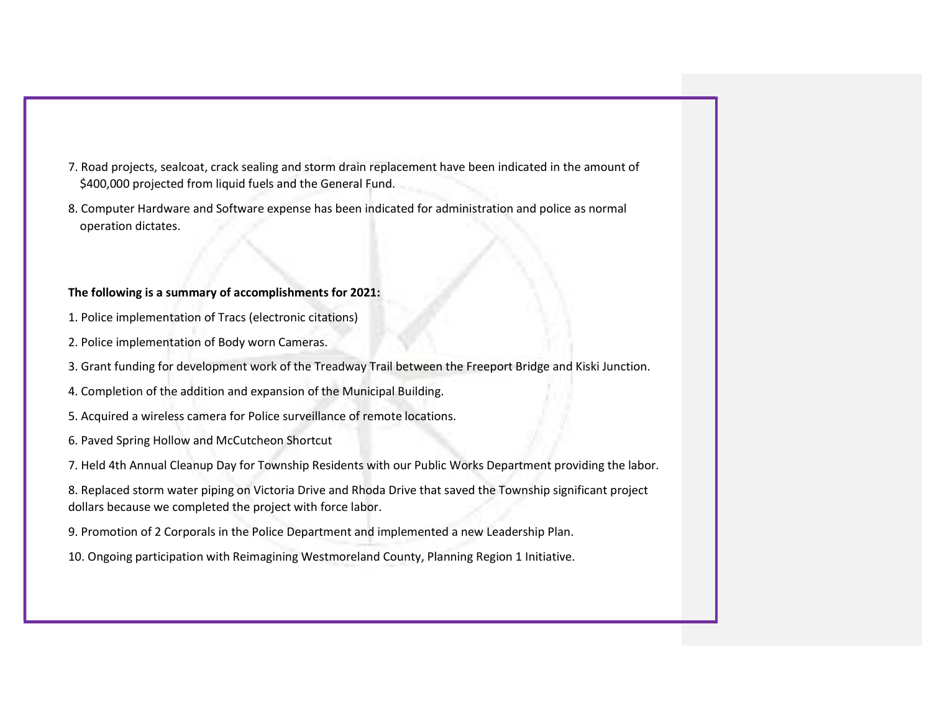- 7. Road projects, sealcoat, crack sealing and storm drain replacement have been indicated in the amount of \$400,000 projected from liquid fuels and the General Fund.
- 8. Computer Hardware and Software expense has been indicated for administration and police as normal operation dictates.

### The following is a summary of accomplishments for 2021:

- 1. Police implementation of Tracs (electronic citations)
- 2. Police implementation of Body worn Cameras.
- 3. Grant funding for development work of the Treadway Trail between the Freeport Bridge and Kiski Junction.
- 4. Completion of the addition and expansion of the Municipal Building.
- 5. Acquired a wireless camera for Police surveillance of remote locations.
- 6. Paved Spring Hollow and McCutcheon Shortcut
- 7. Held 4th Annual Cleanup Day for Township Residents with our Public Works Department providing the labor.
- 8. Replaced storm water piping on Victoria Drive and Rhoda Drive that saved the Township significant project dollars because we completed the project with force labor.
- 9. Promotion of 2 Corporals in the Police Department and implemented a new Leadership Plan.
- 10. Ongoing participation with Reimagining Westmoreland County, Planning Region 1 Initiative.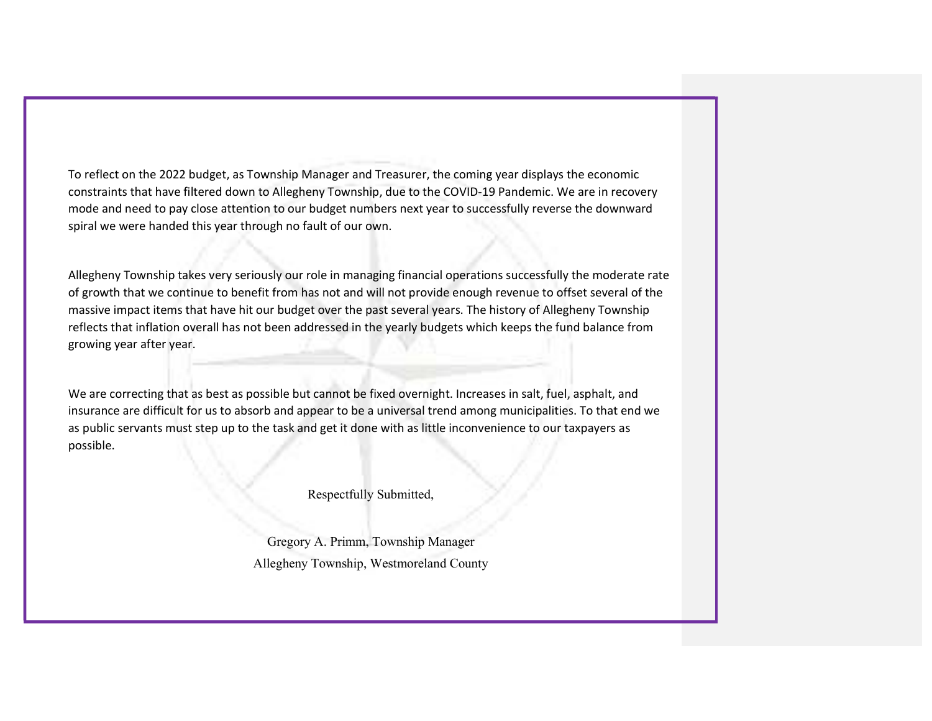To reflect on the 2022 budget, as Township Manager and Treasurer, the coming year displays the economic constraints that have filtered down to Allegheny Township, due to the COVID-19 Pandemic. We are in recovery mode and need to pay close attention to our budget numbers next year to successfully reverse the downward spiral we were handed this year through no fault of our own.

Allegheny Township takes very seriously our role in managing financial operations successfully the moderate rate of growth that we continue to benefit from has not and will not provide enough revenue to offset several of the massive impact items that have hit our budget over the past several years. The history of Allegheny Township reflects that inflation overall has not been addressed in the yearly budgets which keeps the fund balance from growing year after year.

We are correcting that as best as possible but cannot be fixed overnight. Increases in salt, fuel, asphalt, and insurance are difficult for us to absorb and appear to be a universal trend among municipalities. To that end we as public servants must step up to the task and get it done with as little inconvenience to our taxpayers as possible.

Respectfully Submitted,

Gregory A. Primm, Township Manager Allegheny Township, Westmoreland County